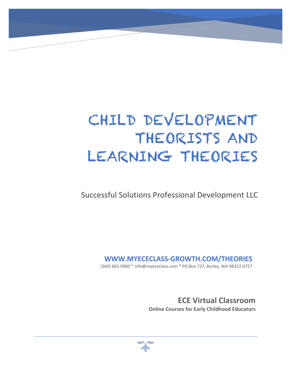# CHILD DEVELOPMENT THEORISTS AND LEARNING THEORIES

Successful Solutions Professional Development LLC

**WWW.MYECECLASS-GROWTH.COM/THEORIES**

(360) 602-0960 \* info@myececlass.com \* PO Box 727, Burley, WA 98322-0727

**ECE Virtual Classroom Online Courses for Early Childhood Educators**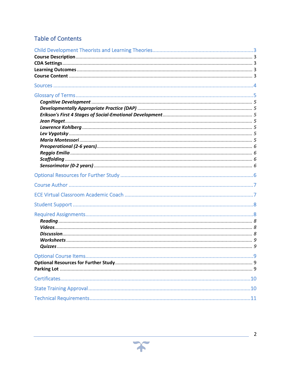## **Table of Contents**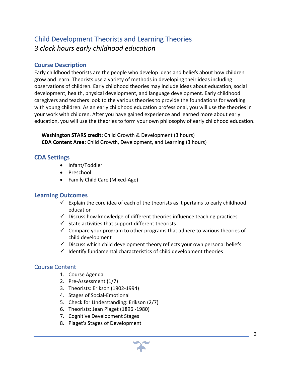# Child Development Theorists and Learning Theories *3 clock hours early childhood education*

## **Course Description**

Early childhood theorists are the people who develop ideas and beliefs about how children grow and learn. Theorists use a variety of methods in developing their ideas including observations of children. Early childhood theories may include ideas about education, social development, health, physical development, and language development. Early childhood caregivers and teachers look to the various theories to provide the foundations for working with young children. As an early childhood education professional, you will use the theories in your work with children. After you have gained experience and learned more about early education, you will use the theories to form your own philosophy of early childhood education.

 **Washington STARS credit:** Child Growth & Development (3 hours)  **CDA Content Area:** Child Growth, Development, and Learning (3 hours)

## **CDA Settings**

- Infant/Toddler
- Preschool
- Family Child Care (Mixed-Age)

## **Learning Outcomes**

- $\checkmark$  Explain the core idea of each of the theorists as it pertains to early childhood education
- $\checkmark$  Discuss how knowledge of different theories influence teaching practices
- $\checkmark$  State activities that support different theorists
- $\checkmark$  Compare your program to other programs that adhere to various theories of child development
- $\checkmark$  Discuss which child development theory reflects your own personal beliefs
- $\checkmark$  Identify fundamental characteristics of child development theories

## Course Content

- 1. Course Agenda
- 2. Pre-Assessment (1/7)
- 3. Theorists: Erikson (1902-1994)
- 4. Stages of Social-Emotional
- 5. Check for Understanding: Erikson (2/7)
- 6. Theorists: Jean Piaget (1896 -1980)
- 7. Cognitive Development Stages
- 8. Piaget's Stages of Development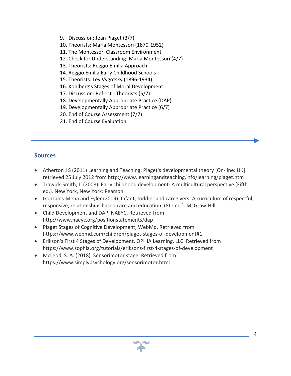- 9. Discussion: Jean Piaget (3/7)
- 10. Theorists: Maria Montessori (1870-1952)
- 11. The Montessori Classroom Environment
- 12. Check for Understanding: Maria Montessori (4/7)
- 13. Theorists: Reggio Emilia Approach
- 14. Reggio Emilia Early Childhood Schools
- 15. Theorists: Lev Vygotsky (1896-1934)
- 16. Kohlberg's Stages of Moral Development
- 17. Discussion: Reflect Theorists (5/7)
- 18. Developmentally Appropriate Practice (DAP)
- 19. Developmentally Appropriate Practice (6/7)
- 20. End of Course Assessment (7/7)
- 21. End of Course Evaluation

#### **Sources**

- Atherton J S (2011) Learning and Teaching; Piaget's developmental theory [On-line: UK] retrieved 25 July 2012 from http://www.learningandteaching.info/learning/piaget.htm
- Trawick-Smith, J. (2008). Early childhood development: A multicultural perspective (Fifth ed.). New York, New York: Pearson.
- Gonzales-Mena and Eyler (2009). Infant, toddler and caregivers: A curriculum of respectful, responsive, relationships based care and education. (8th ed.). McGraw-Hill.
- Child Development and DAP, NAEYC. Retrieved from http://www.naeyc.org/positionstatements/dap
- Piaget Stages of Cognitive Development, WebMd. Retrieved from https://www.webmd.com/children/piaget-stages-of-development#1
- Erikson's First 4 Stages of Development, OPHIA Learning, LLC. Retrieved from https://www.sophia.org/tutorials/eriksons-first-4-stages-of-development
- McLeod, S. A. (2018). Sensorimotor stage. Retrieved from https://www.simplypsychology.org/sensorimotor.html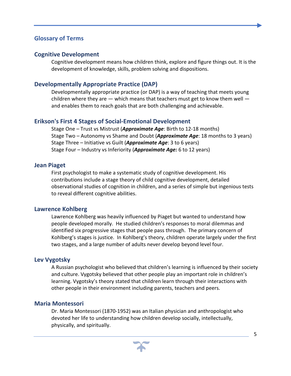#### **Glossary of Terms**

#### **Cognitive Development**

Cognitive development means how children think, explore and figure things out. It is the development of knowledge, skills, problem solving and dispositions.

## **Developmentally Appropriate Practice (DAP)**

Developmentally appropriate practice (or DAP) is a way of teaching that meets young children where they are  $-$  which means that teachers must get to know them well  $$ and enables them to reach goals that are both challenging and achievable.

#### **Erikson's First 4 Stages of Social-Emotional Development**

Stage One – Trust vs Mistrust (*Approximate Age*: Birth to 12-18 months) Stage Two – Autonomy vs Shame and Doubt (*Approximate Age*: 18 months to 3 years) Stage Three – Initiative vs Guilt (*Approximate Age*: 3 to 6 years) Stage Four – Industry vs Inferiority (*Approximate Age:* 6 to 12 years)

#### **Jean Piaget**

First psychologist to make a systematic study of cognitive development. His contributions include a stage theory of child cognitive development, detailed observational studies of cognition in children, and a series of simple but ingenious tests to reveal different cognitive abilities.

#### **Lawrence Kohlberg**

Lawrence Kohlberg was heavily influenced by Piaget but wanted to understand how people developed morally. He studied children's responses to moral dilemmas and identified six progressive stages that people pass through. The primary concern of Kohlberg's stages is justice. In Kohlberg's theory, children operate largely under the first two stages, and a large number of adults never develop beyond level four.

#### **Lev Vygotsky**

A Russian psychologist who believed that children's learning is influenced by their society and culture. Vygotsky believed that other people play an important role in children's learning. Vygotsky's theory stated that children learn through their interactions with other people in their environment including parents, teachers and peers.

#### **Maria Montessori**

Dr. Maria Montessori (1870-1952) was an Italian physician and anthropologist who devoted her life to understanding how children develop socially, intellectually, physically, and spiritually.

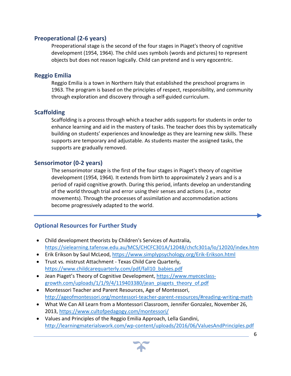### **Preoperational (2-6 years)**

Preoperational stage is the second of the four stages in Piaget's theory of cognitive development (1954, 1964). The child uses symbols (words and pictures) to represent objects but does not reason logically. Child can pretend and is very egocentric.

## **Reggio Emilia**

Reggio Emilia is a town in Northern Italy that established the preschool programs in 1963. The program is based on the principles of respect, responsibility, and community through exploration and discovery through a self-guided curriculum.

## **Scaffolding**

Scaffolding is a process through which a teacher adds supports for students in order to enhance learning and aid in the mastery of tasks. The teacher does this by systematically building on students' experiences and knowledge as they are learning new skills. These supports are temporary and adjustable. As students master the assigned tasks, the supports are gradually removed.

## **Sensorimotor (0-2 years)**

The sensorimotor stage is the first of the four stages in Piaget's theory of cognitive development (1954, 1964). It extends from birth to approximately 2 years and is a period of rapid cognitive growth. During this period, infants develop an understanding of the world through trial and error using their senses and actions (i.e., motor movements). Through the processes of assimilation and accommodation actions become progressively adapted to the world.

## **Optional Resources for Further Study**

- Child development theorists by Children's Services of Australia, https://sielearning.tafensw.edu.au/MCS/CHCFC301A/12048/chcfc301a/lo/12020/index.htm
- Erik Erikson by Saul McLeod, https://www.simplypsychology.org/Erik-Erikson.html
- Trust vs. mistrust Attachment Texas Child Care Quarterly, https://www.childcarequarterly.com/pdf/fall10\_babies.pdf
- Jean Piaget's Theory of Cognitive Development, https://www.myececlassgrowth.com/uploads/1/1/9/4/119403380/jean\_piagets\_theory\_of.pdf
- Montessori Teacher and Parent Resources, Age of Montessori, http://ageofmontessori.org/montessori-teacher-parent-resources/#reading-writing-math
- What We Can All Learn from a Montessori Classroom, Jennifer Gonzalez, November 26, 2013, https://www.cultofpedagogy.com/montessori/
- Values and Principles of the Reggio Emilia Approach, Lella Gandini, http://learningmaterialswork.com/wp-content/uploads/2016/06/ValuesAndPrinciples.pdf

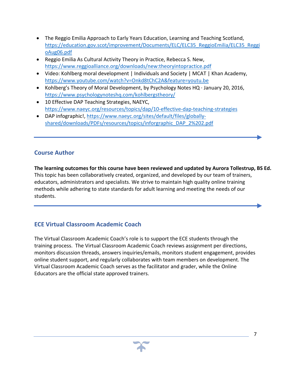- The Reggio Emilia Approach to Early Years Education, Learning and Teaching Scotland, https://education.gov.scot/improvement/Documents/ELC/ELC35\_ReggioEmilia/ELC35\_Reggi oAug06.pdf
- Reggio Emilia As Cultural Activity Theory in Practice, Rebecca S. New, https://www.reggioalliance.org/downloads/new:theoryintopractice.pdf
- Video: Kohlberg moral development | Individuals and Society | MCAT | Khan Academy, https://www.youtube.com/watch?v=Onkd8tChC2A&feature=youtu.be
- Kohlberg's Theory of Moral Development, by Psychology Notes HQ · January 20, 2016, https://www.psychologynoteshq.com/kohlbergstheory/
- 10 Effective DAP Teaching Strategies, NAEYC, https://www.naeyc.org/resources/topics/dap/10-effective-dap-teaching-strategies
- DAP infographic!, https://www.naeyc.org/sites/default/files/globallyshared/downloads/PDFs/resources/topics/inforgraphic\_DAP\_2%202.pdf

## **Course Author**

**The learning outcomes for this course have been reviewed and updated by Aurora Tollestrup, BS Ed.** This topic has been collaboratively created, organized, and developed by our team of trainers, educators, administrators and specialists. We strive to maintain high quality online training methods while adhering to state standards for adult learning and meeting the needs of our students.

## **ECE Virtual Classroom Academic Coach**

The Virtual Classroom Academic Coach's role is to support the ECE students through the training process. The Virtual Classroom Academic Coach reviews assignment per directions, monitors discussion threads, answers inquiries/emails, monitors student engagement, provides online student support, and regularly collaborates with team members on development. The Virtual Classroom Academic Coach serves as the facilitator and grader, while the Online Educators are the official state approved trainers.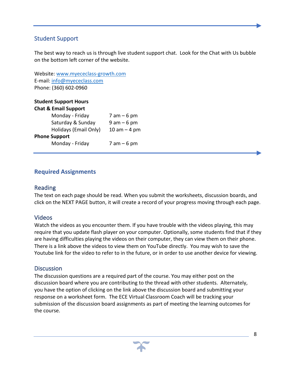## Student Support

The best way to reach us is through live student support chat. Look for the Chat with Us bubble on the bottom left corner of the website.

Website: www.myececlass-growth.com E-mail: info@myececlass.com Phone: (360) 602-0960

|                      | <b>Student Support Hours</b>    |                |
|----------------------|---------------------------------|----------------|
|                      | <b>Chat &amp; Email Support</b> |                |
|                      | Monday - Friday                 | $7$ am $-6$ pm |
|                      | Saturday & Sunday               | $9$ am $-6$ pm |
|                      | Holidays (Email Only)           | $10 am - 4 pm$ |
| <b>Phone Support</b> |                                 |                |
|                      | Monday - Friday                 | $7$ am $-6$ pm |

## **Required Assignments**

#### Reading

The text on each page should be read. When you submit the worksheets, discussion boards, and click on the NEXT PAGE button, it will create a record of your progress moving through each page.

#### Videos

Watch the videos as you encounter them. If you have trouble with the videos playing, this may require that you update flash player on your computer. Optionally, some students find that if they are having difficulties playing the videos on their computer, they can view them on their phone. There is a link above the videos to view them on YouTube directly. You may wish to save the Youtube link for the video to refer to in the future, or in order to use another device for viewing.

#### **Discussion**

The discussion questions are a required part of the course. You may either post on the discussion board where you are contributing to the thread with other students. Alternately, you have the option of clicking on the link above the discussion board and submitting your response on a worksheet form. The ECE Virtual Classroom Coach will be tracking your submission of the discussion board assignments as part of meeting the learning outcomes for the course.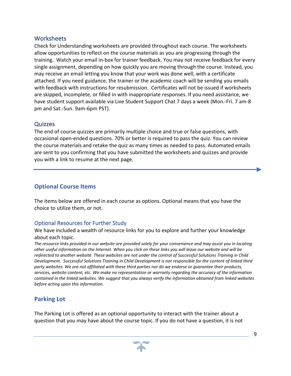## Worksheets

Check for Understanding worksheets are provided throughout each course. The worksheets allow opportunities to reflect on the course materials as you are progressing through the training. Watch your email in-box for trainer feedback. You may not receive feedback for every single assignment, depending on how quickly you are moving through the course. Instead, you may receive an email letting you know that your work was done well, with a certificate attached. If you need guidance, the trainer or the academic coach will be sending you emails with feedback with instructions for resubmission. Certificates will not be issued if worksheets are skipped, incomplete, or filled in with inappropriate responses. If you need assistance, we have student support available via Live Student Support Chat 7 days a week (Mon.-Fri. 7 am-8 pm and Sat.-Sun. 9am-6pm PST).

## **Quizzes**

The end of course quizzes are primarily multiple choice and true or false questions, with occasional open-ended questions. 70% or better is required to pass the quiz. You can review the course materials and retake the quiz as many times as needed to pass. Automated emails are sent to you confirming that you have submitted the worksheets and quizzes and provide you with a link to resume at the next page.

## **Optional Course Items**

The items below are offered in each course as options. Optional means that you have the choice to utilize them, or not.

## Optional Resources for Further Study

We have included a wealth of resource links for you to explore and further your knowledge about each topic.

*The resource links provided in our website are provided solely for your convenience and may assist you in locating other useful information on the Internet. When you click on these links you will leave our website and will be redirected to another website. These websites are not under the control of Successful Solutions Training in Child Development. Successful Solutions Training in Child Development is not responsible for the content of linked third party websites. We are not affiliated with these third parties nor do we endorse or guarantee their products, services, website content, etc. We make no representation or warranty regarding the accuracy of the information contained in the linked websites. We suggest that you always verify the information obtained from linked websites before acting upon this information.*

## **Parking Lot**

The Parking Lot is offered as an optional opportunity to interact with the trainer about a question that you may have about the course topic. If you do not have a question, it is not

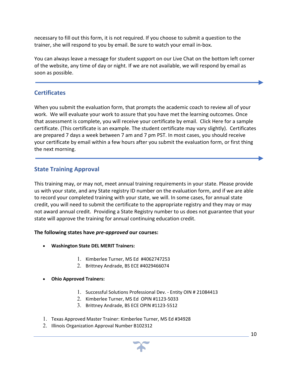necessary to fill out this form, it is not required. If you choose to submit a question to the trainer, she will respond to you by email. Be sure to watch your email in-box.

You can always leave a message for student support on our Live Chat on the bottom left corner of the website, any time of day or night. If we are not available, we will respond by email as soon as possible.

## **Certificates**

When you submit the evaluation form, that prompts the academic coach to review all of your work. We will evaluate your work to assure that you have met the learning outcomes. Once that assessment is complete, you will receive your certificate by email. Click Here for a sample certificate. (This certificate is an example. The student certificate may vary slightly). Certificates are prepared 7 days a week between 7 am and 7 pm PST. In most cases, you should receive your certificate by email within a few hours after you submit the evaluation form, or first thing the next morning.

## **State Training Approval**

This training may, or may not, meet annual training requirements in your state. Please provide us with your state, and any State registry ID number on the evaluation form, and if we are able to record your completed training with your state, we will. In some cases, for annual state credit, you will need to submit the certificate to the appropriate registry and they may or may not award annual credit. Providing a State Registry number to us does not guarantee that your state will approve the training for annual continuing education credit.

#### **The following states have** *pre-approved* **our courses:**

- **Washington State DEL MERIT Trainers:** 
	- 1. Kimberlee Turner, MS Ed #4062747253
	- 2. Brittney Andrade, BS ECE #4029466074

#### • **Ohio Approved Trainers:**

- 1. Successful Solutions Professional Dev. Entity OIN # 21084413
- 2. Kimberlee Turner, MS Ed OPIN #1123-5033
- 3. Brittney Andrade, BS ECE OPIN #1123-5512
- 1. Texas Approved Master Trainer: Kimberlee Turner, MS Ed #34928
- 2. Illinois Organization Approval Number B102312